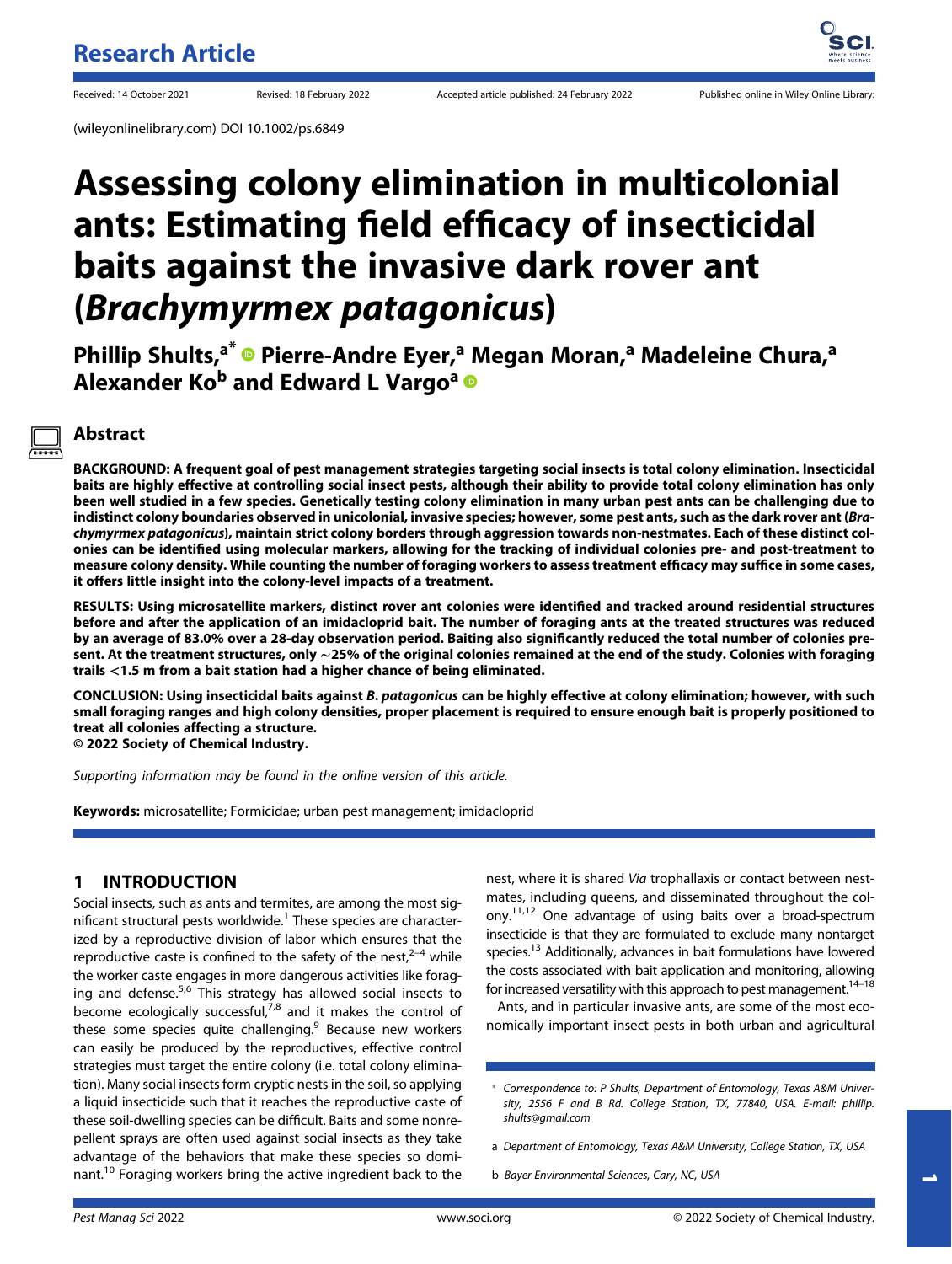(wileyonlinelibrary.com) DOI 10.1002/ps.6849

# Assessing colony elimination in multicolonial ants: Estimating field efficacy of insecticidal baits against the invasive dark rover ant (Brachym[yr](https://orcid.org/0000-0003-2498-9637)mex patagonicus)

Phillip Shults,<sup>a\*</sup> • Pierre-Andre Eyer,<sup>a</sup> Megan Moran,<sup>a</sup> Madeleine Chura,<sup>a</sup> Alexander Kob and Edward L Vargo<sup>a</sup> <sup>®</sup>

# Abstract

BACKGROUND: A frequent goal of pest management strategies targeting social insects is total colony elimination. Insecticidal baits are highly effective at controlling social insect pests, although their ability to provide total colony elimination has only been well studied in a few species. Genetically testing colony elimination in many urban pest ants can be challenging due to indistinct colony boundaries observed in unicolonial, invasive species; however, some pest ants, such as the dark rover ant (Brachymyrmex patagonicus), maintain strict colony borders through aggression towards non-nestmates. Each of these distinct colonies can be identified using molecular markers, allowing for the tracking of individual colonies pre- and post-treatment to measure colony density. While counting the number of foraging workers to assess treatment efficacy may suffice in some cases, it offers little insight into the colony-level impacts of a treatment.

RESULTS: Using microsatellite markers, distinct rover ant colonies were identified and tracked around residential structures before and after the application of an imidacloprid bait. The number of foraging ants at the treated structures was reduced by an average of 83.0% over a 28-day observation period. Baiting also significantly reduced the total number of colonies present. At the treatment structures, only ∼25% of the original colonies remained at the end of the study. Colonies with foraging trails <1.5 m from a bait station had a higher chance of being eliminated.

CONCLUSION: Using insecticidal baits against B. patagonicus can be highly effective at colony elimination; however, with such small foraging ranges and high colony densities, proper placement is required to ensure enough bait is properly positioned to treat all colonies affecting a structure. © 2022 Society of Chemical Industry.

Supporting information may be found in the online version of this article.

Keywords: microsatellite; Formicidae; urban pest management; imidacloprid

# 1 INTRODUCTION

Social insects, such as ants and termites, are among the most significant structural pests worldwide.<sup>1</sup> These species are characterized by a reproductive division of labor which ensures that the reproductive caste is confined to the safety of the nest, $2-4$  while the worker caste engages in more dangerous activities like foraging and defense. $5,6$  This strategy has allowed social insects to become ecologically successful, $7,8$  and it makes the control of these some species quite challenging. $9$  Because new workers can easily be produced by the reproductives, effective control strategies must target the entire colony (i.e. total colony elimination). Many social insects form cryptic nests in the soil, so applying a liquid insecticide such that it reaches the reproductive caste of these soil-dwelling species can be difficult. Baits and some nonrepellent sprays are often used against social insects as they take advantage of the behaviors that make these species so dominant.<sup>10</sup> Foraging workers bring the active ingredient back to the

nest, where it is shared Via trophallaxis or contact between nestmates, including queens, and disseminated throughout the colony.11,12 One advantage of using baits over a broad-spectrum insecticide is that they are formulated to exclude many nontarget species.<sup>13</sup> Additionally, advances in bait formulations have lowered the costs associated with bait application and monitoring, allowing for increased versatility with this approach to pest management.<sup>14-18</sup>

Ants, and in particular invasive ants, are some of the most economically important insect pests in both urban and agricultural

Correspondence to: P Shults, Department of Entomology, Texas A&M University, 2556 F and B Rd. College Station, TX, 77840, USA. E-mail: [phillip.](mailto:phillip.shults@gmail.com) [shults@gmail.com](mailto:phillip.shults@gmail.com)

a Department of Entomology, Texas A&M University, College Station, TX, USA

b Bayer Environmental Sciences, Cary, NC, USA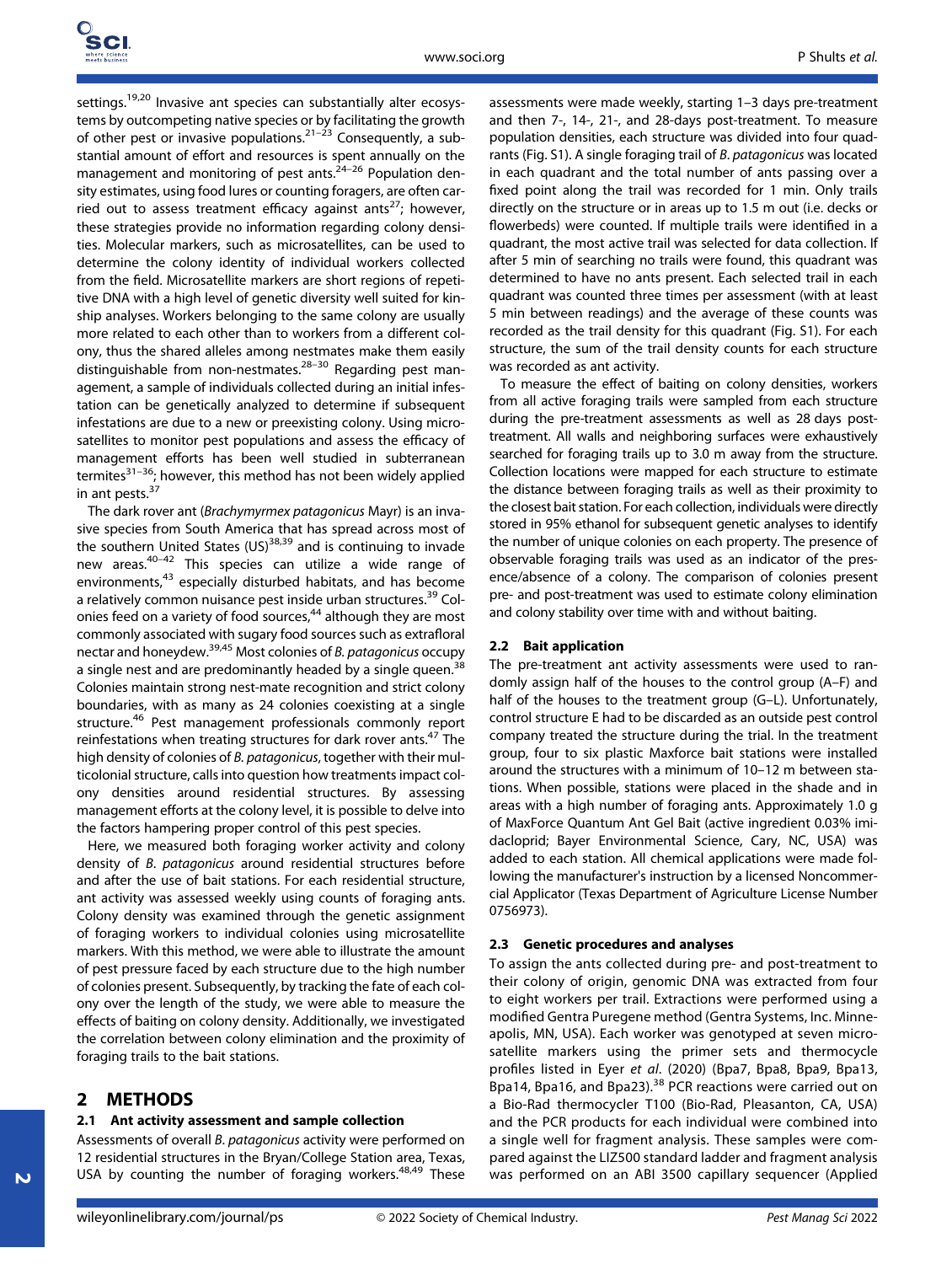settings.<sup>19,20</sup> Invasive ant species can substantially alter ecosystems by outcompeting native species or by facilitating the growth of other pest or invasive populations.<sup>21–23</sup> Consequently, a substantial amount of effort and resources is spent annually on the management and monitoring of pest ants.<sup>24-26</sup> Population density estimates, using food lures or counting foragers, are often carried out to assess treatment efficacy against ants<sup>27</sup>; however, these strategies provide no information regarding colony densities. Molecular markers, such as microsatellites, can be used to determine the colony identity of individual workers collected from the field. Microsatellite markers are short regions of repetitive DNA with a high level of genetic diversity well suited for kinship analyses. Workers belonging to the same colony are usually more related to each other than to workers from a different colony, thus the shared alleles among nestmates make them easily distinguishable from non-nestmates.28–<sup>30</sup> Regarding pest management, a sample of individuals collected during an initial infestation can be genetically analyzed to determine if subsequent infestations are due to a new or preexisting colony. Using microsatellites to monitor pest populations and assess the efficacy of management efforts has been well studied in subterranean termites $^{31-36}$ ; however, this method has not been widely applied in ant pests.<sup>37</sup>

The dark rover ant (Brachymyrmex patagonicus Mayr) is an invasive species from South America that has spread across most of the southern United States  $(US)^{38,39}$  and is continuing to invade new areas.40–<sup>42</sup> This species can utilize a wide range of environments,<sup>43</sup> especially disturbed habitats, and has become a relatively common nuisance pest inside urban structures.<sup>39</sup> Colonies feed on a variety of food sources,<sup>44</sup> although they are most commonly associated with sugary food sources such as extrafloral nectar and honeydew.39,45 Most colonies of B. patagonicus occupy a single nest and are predominantly headed by a single queen.<sup>38</sup> Colonies maintain strong nest-mate recognition and strict colony boundaries, with as many as 24 colonies coexisting at a single structure.<sup>46</sup> Pest management professionals commonly report reinfestations when treating structures for dark rover ants.<sup>47</sup> The high density of colonies of B. patagonicus, together with their multicolonial structure, calls into question how treatments impact colony densities around residential structures. By assessing management efforts at the colony level, it is possible to delve into the factors hampering proper control of this pest species.

Here, we measured both foraging worker activity and colony density of B. patagonicus around residential structures before and after the use of bait stations. For each residential structure, ant activity was assessed weekly using counts of foraging ants. Colony density was examined through the genetic assignment of foraging workers to individual colonies using microsatellite markers. With this method, we were able to illustrate the amount of pest pressure faced by each structure due to the high number of colonies present. Subsequently, by tracking the fate of each colony over the length of the study, we were able to measure the effects of baiting on colony density. Additionally, we investigated the correlation between colony elimination and the proximity of foraging trails to the bait stations.

# 2 METHODS

#### 2.1 Ant activity assessment and sample collection

Assessments of overall B. patagonicus activity were performed on 12 residential structures in the Bryan/College Station area, Texas, USA by counting the number of foraging workers. $48,49$  These assessments were made weekly, starting 1–3 days pre-treatment and then 7-, 14-, 21-, and 28-days post-treatment. To measure population densities, each structure was divided into four quadrants (Fig. S1). A single foraging trail of B. patagonicus was located in each quadrant and the total number of ants passing over a fixed point along the trail was recorded for 1 min. Only trails directly on the structure or in areas up to 1.5 m out (i.e. decks or flowerbeds) were counted. If multiple trails were identified in a quadrant, the most active trail was selected for data collection. If after 5 min of searching no trails were found, this quadrant was determined to have no ants present. Each selected trail in each quadrant was counted three times per assessment (with at least 5 min between readings) and the average of these counts was recorded as the trail density for this quadrant (Fig. S1). For each structure, the sum of the trail density counts for each structure was recorded as ant activity.

To measure the effect of baiting on colony densities, workers from all active foraging trails were sampled from each structure during the pre-treatment assessments as well as 28 days posttreatment. All walls and neighboring surfaces were exhaustively searched for foraging trails up to 3.0 m away from the structure. Collection locations were mapped for each structure to estimate the distance between foraging trails as well as their proximity to the closest bait station. For each collection, individuals were directly stored in 95% ethanol for subsequent genetic analyses to identify the number of unique colonies on each property. The presence of observable foraging trails was used as an indicator of the presence/absence of a colony. The comparison of colonies present pre- and post-treatment was used to estimate colony elimination and colony stability over time with and without baiting.

#### 2.2 Bait application

The pre-treatment ant activity assessments were used to randomly assign half of the houses to the control group (A–F) and half of the houses to the treatment group (G–L). Unfortunately, control structure E had to be discarded as an outside pest control company treated the structure during the trial. In the treatment group, four to six plastic Maxforce bait stations were installed around the structures with a minimum of 10–12 m between stations. When possible, stations were placed in the shade and in areas with a high number of foraging ants. Approximately 1.0 g of MaxForce Quantum Ant Gel Bait (active ingredient 0.03% imidacloprid; Bayer Environmental Science, Cary, NC, USA) was added to each station. All chemical applications were made following the manufacturer's instruction by a licensed Noncommercial Applicator (Texas Department of Agriculture License Number 0756973).

#### 2.3 Genetic procedures and analyses

To assign the ants collected during pre- and post-treatment to their colony of origin, genomic DNA was extracted from four to eight workers per trail. Extractions were performed using a modified Gentra Puregene method (Gentra Systems, Inc. Minneapolis, MN, USA). Each worker was genotyped at seven microsatellite markers using the primer sets and thermocycle profiles listed in Eyer et al. (2020) (Bpa7, Bpa8, Bpa9, Bpa13, Bpa14, Bpa16, and Bpa23).<sup>38</sup> PCR reactions were carried out on a Bio-Rad thermocycler T100 (Bio-Rad, Pleasanton, CA, USA) and the PCR products for each individual were combined into a single well for fragment analysis. These samples were compared against the LIZ500 standard ladder and fragment analysis was performed on an ABI 3500 capillary sequencer (Applied

 $\overline{v}$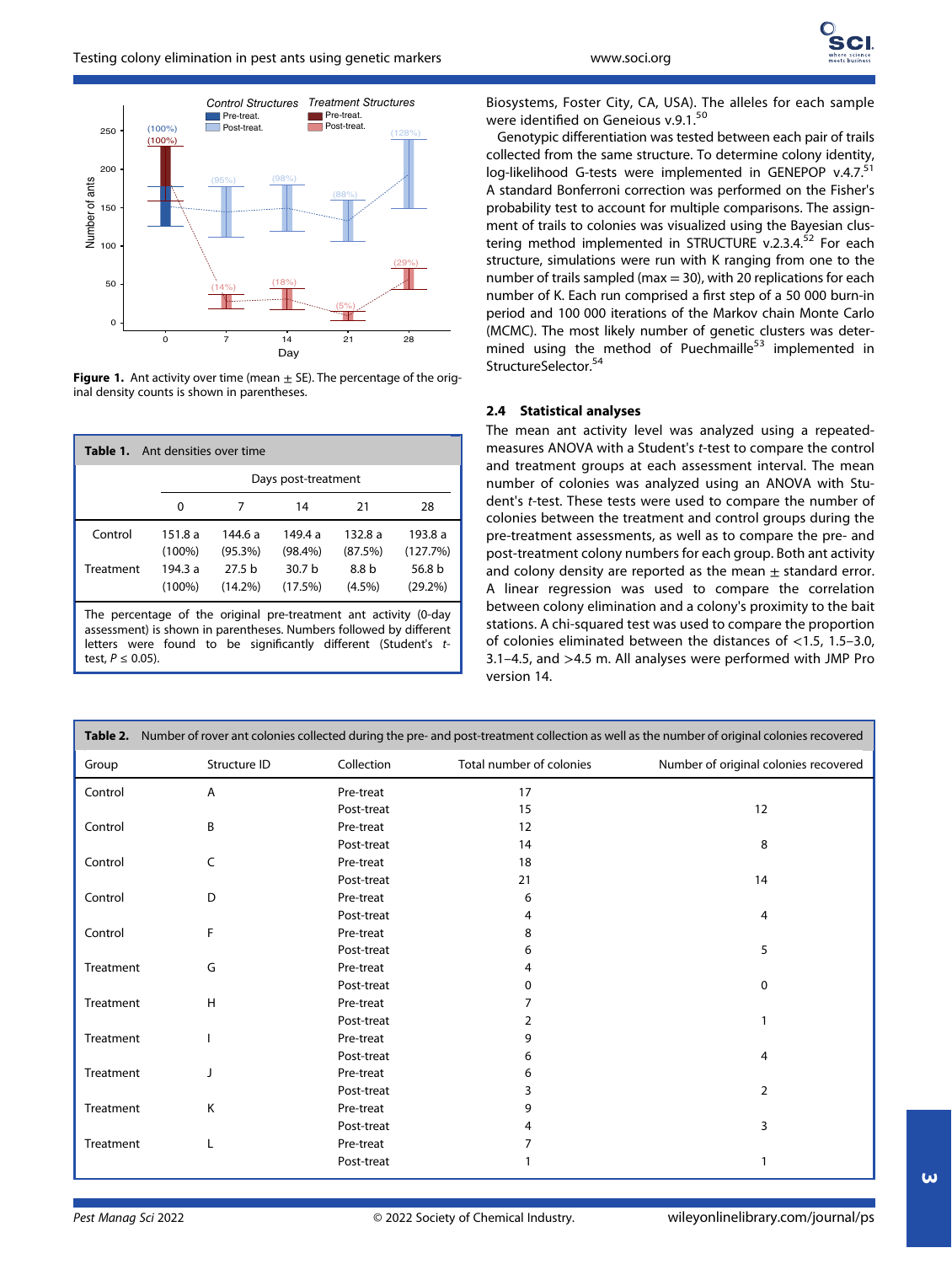



**Figure 1.** Ant activity over time (mean  $\pm$  SE). The percentage of the original density counts is shown in parentheses.

| <b>Table 1.</b> Ant densities over time                                                                                                      |                      |                                 |                              |                    |                      |  |  |  |
|----------------------------------------------------------------------------------------------------------------------------------------------|----------------------|---------------------------------|------------------------------|--------------------|----------------------|--|--|--|
|                                                                                                                                              |                      | Days post-treatment             |                              |                    |                      |  |  |  |
|                                                                                                                                              | 0                    |                                 | 14                           | 21                 | 28                   |  |  |  |
| Control                                                                                                                                      | 151.8a<br>$(100\%)$  | 144.6 a<br>$(95.3\%)$           | 149.4 a<br>$(98.4\%)$        | 132.8 a<br>(87.5%) | 193.8 a<br>(127.7%)  |  |  |  |
| Treatment                                                                                                                                    | 194.3 a<br>$(100\%)$ | 27.5 <sub>b</sub><br>$(14.2\%)$ | 30.7 <sub>b</sub><br>(17.5%) | 8.8 b<br>$(4.5\%)$ | 56.8 b<br>$(29.2\%)$ |  |  |  |
| The percentage of the original pre-treatment ant activity<br>$(0-day)$<br>accoccmont) is shown in naronthosos. Numbors followed by different |                      |                                 |                              |                    |                      |  |  |  |

ssessment) is shown in parentheses. Numbers followed by different letters were found to be significantly different (Student's ttest,  $P \leq 0.05$ ).

Biosystems, Foster City, CA, USA). The alleles for each sample were identified on Geneious v.9.1.<sup>50</sup>

Genotypic differentiation was tested between each pair of trails collected from the same structure. To determine colony identity, log-likelihood G-tests were implemented in GENEPOP v.4.7.<sup>51</sup> A standard Bonferroni correction was performed on the Fisher's probability test to account for multiple comparisons. The assignment of trails to colonies was visualized using the Bayesian clustering method implemented in STRUCTURE v.2.3.4.<sup>52</sup> For each structure, simulations were run with K ranging from one to the number of trails sampled (max  $=$  30), with 20 replications for each number of K. Each run comprised a first step of a 50 000 burn-in period and 100 000 iterations of the Markov chain Monte Carlo (MCMC). The most likely number of genetic clusters was determined using the method of Puechmaille<sup>53</sup> implemented in StructureSelector.<sup>54</sup>

#### 2.4 Statistical analyses

The mean ant activity level was analyzed using a repeatedmeasures ANOVA with a Student's t-test to compare the control and treatment groups at each assessment interval. The mean number of colonies was analyzed using an ANOVA with Student's t-test. These tests were used to compare the number of colonies between the treatment and control groups during the pre-treatment assessments, as well as to compare the pre- and post-treatment colony numbers for each group. Both ant activity and colony density are reported as the mean  $\pm$  standard error. A linear regression was used to compare the correlation between colony elimination and a colony's proximity to the bait stations. A chi-squared test was used to compare the proportion of colonies eliminated between the distances of <1.5, 1.5–3.0, 3.1–4.5, and >4.5 m. All analyses were performed with JMP Pro version 14.

| Table 2. Number of rover ant colonies collected during the pre- and post-treatment collection as well as the number of original colonies recovered |              |            |                          |                                       |  |
|----------------------------------------------------------------------------------------------------------------------------------------------------|--------------|------------|--------------------------|---------------------------------------|--|
| Group                                                                                                                                              | Structure ID | Collection | Total number of colonies | Number of original colonies recovered |  |
| Control                                                                                                                                            | A            | Pre-treat  | 17                       |                                       |  |
|                                                                                                                                                    |              | Post-treat | 15                       | 12                                    |  |
| Control                                                                                                                                            | B            | Pre-treat  | 12                       |                                       |  |
|                                                                                                                                                    |              | Post-treat | 14                       | 8                                     |  |
| Control                                                                                                                                            | C            | Pre-treat  | 18                       |                                       |  |
|                                                                                                                                                    |              | Post-treat | 21                       | 14                                    |  |
| Control                                                                                                                                            | D            | Pre-treat  | 6                        |                                       |  |
|                                                                                                                                                    |              | Post-treat | 4                        | 4                                     |  |
| Control                                                                                                                                            | F            | Pre-treat  | 8                        |                                       |  |
|                                                                                                                                                    |              | Post-treat | 6                        | 5                                     |  |
| Treatment                                                                                                                                          | G            | Pre-treat  | 4                        |                                       |  |
|                                                                                                                                                    |              | Post-treat | 0                        | 0                                     |  |
| Treatment                                                                                                                                          | H            | Pre-treat  |                          |                                       |  |
|                                                                                                                                                    |              | Post-treat | 2                        |                                       |  |
| Treatment                                                                                                                                          |              | Pre-treat  | 9                        |                                       |  |
|                                                                                                                                                    |              | Post-treat | 6                        | 4                                     |  |
| Treatment                                                                                                                                          | J            | Pre-treat  | 6                        |                                       |  |
|                                                                                                                                                    |              | Post-treat | 3                        | 2                                     |  |
| Treatment                                                                                                                                          | Κ            | Pre-treat  | 9                        |                                       |  |
|                                                                                                                                                    |              | Post-treat | 4                        | 3                                     |  |
| Treatment                                                                                                                                          |              | Pre-treat  |                          |                                       |  |
|                                                                                                                                                    |              | Post-treat |                          |                                       |  |

 $\overline{\mathbf{u}}$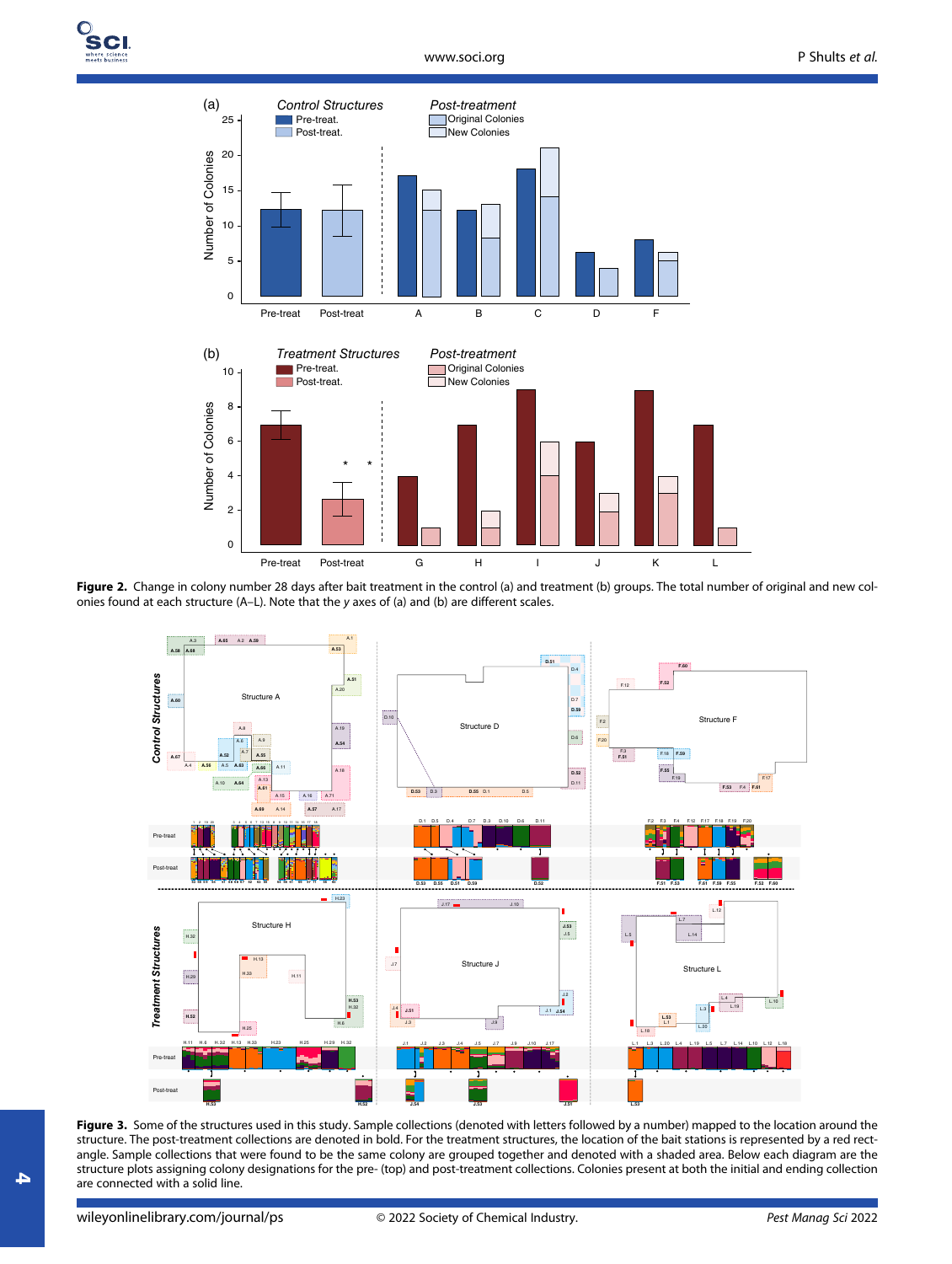

Figure 2. Change in colony number 28 days after bait treatment in the control (a) and treatment (b) groups. The total number of original and new colonies found at each structure (A–L). Note that the y axes of (a) and (b) are different scales.



Figure 3. Some of the structures used in this study. Sample collections (denoted with letters followed by a number) mapped to the location around the structure. The post-treatment collections are denoted in bold. For the treatment structures, the location of the bait stations is represented by a red rectangle. Sample collections that were found to be the same colony are grouped together and denoted with a shaded area. Below each diagram are the structure plots assigning colony designations for the pre- (top) and post-treatment collections. Colonies present at both the initial and ending collection are connected with a solid line.

 $\blacktriangle$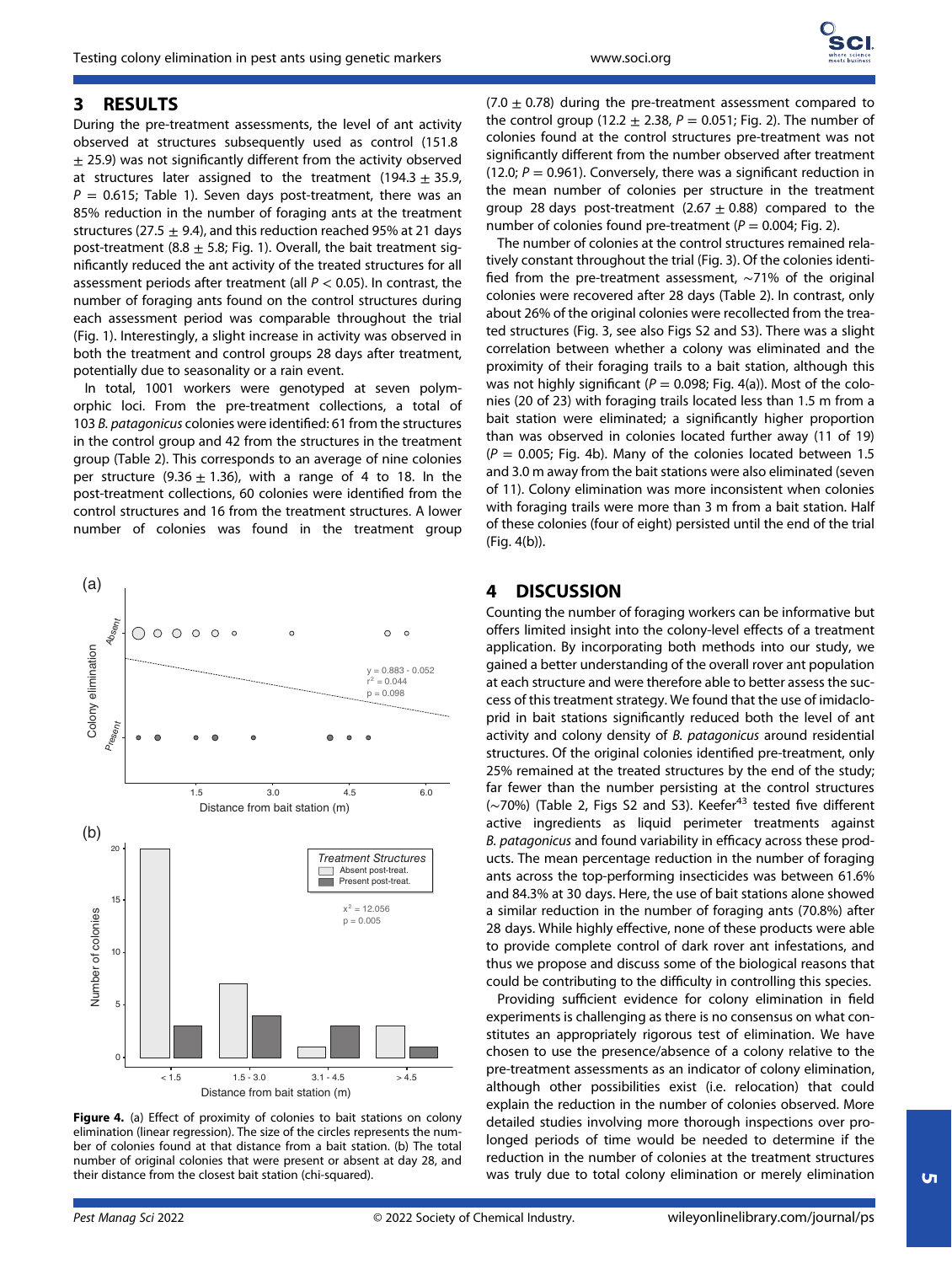# 3 RESULTS

During the pre-treatment assessments, the level of ant activity observed at structures subsequently used as control (151.8  $\pm$  25.9) was not significantly different from the activity observed at structures later assigned to the treatment (194.3  $\pm$  35.9,  $P = 0.615$ ; Table 1). Seven days post-treatment, there was an 85% reduction in the number of foraging ants at the treatment structures (27.5  $\pm$  9.4), and this reduction reached 95% at 21 days post-treatment (8.8  $\pm$  5.8; Fig. 1). Overall, the bait treatment significantly reduced the ant activity of the treated structures for all assessment periods after treatment (all  $P < 0.05$ ). In contrast, the number of foraging ants found on the control structures during each assessment period was comparable throughout the trial (Fig. 1). Interestingly, a slight increase in activity was observed in both the treatment and control groups 28 days after treatment, potentially due to seasonality or a rain event.

In total, 1001 workers were genotyped at seven polymorphic loci. From the pre-treatment collections, a total of 103 B. patagonicus colonies were identified: 61 from the structures in the control group and 42 from the structures in the treatment group (Table 2). This corresponds to an average of nine colonies per structure (9.36  $\pm$  1.36), with a range of 4 to 18. In the post-treatment collections, 60 colonies were identified from the control structures and 16 from the treatment structures. A lower number of colonies was found in the treatment group



Figure 4. (a) Effect of proximity of colonies to bait stations on colony elimination (linear regression). The size of the circles represents the number of colonies found at that distance from a bait station. (b) The total number of original colonies that were present or absent at day 28, and their distance from the closest bait station (chi-squared).

 $(7.0 + 0.78)$  during the pre-treatment assessment compared to the control group (12.2  $\pm$  2.38, P = 0.051; Fig. 2). The number of colonies found at the control structures pre-treatment was not significantly different from the number observed after treatment (12.0;  $P = 0.961$ ). Conversely, there was a significant reduction in the mean number of colonies per structure in the treatment group 28 days post-treatment (2.67  $\pm$  0.88) compared to the number of colonies found pre-treatment ( $P = 0.004$ ; Fig. 2).

The number of colonies at the control structures remained relatively constant throughout the trial (Fig. 3). Of the colonies identified from the pre-treatment assessment, ∼71% of the original colonies were recovered after 28 days (Table 2). In contrast, only about 26% of the original colonies were recollected from the treated structures (Fig. 3, see also Figs S2 and S3). There was a slight correlation between whether a colony was eliminated and the proximity of their foraging trails to a bait station, although this was not highly significant ( $P = 0.098$ ; Fig. 4(a)). Most of the colonies (20 of 23) with foraging trails located less than 1.5 m from a bait station were eliminated; a significantly higher proportion than was observed in colonies located further away (11 of 19)  $(P = 0.005;$  Fig. 4b). Many of the colonies located between 1.5 and 3.0 m away from the bait stations were also eliminated (seven of 11). Colony elimination was more inconsistent when colonies with foraging trails were more than 3 m from a bait station. Half of these colonies (four of eight) persisted until the end of the trial (Fig. 4(b)).

# 4 DISCUSSION

Counting the number of foraging workers can be informative but offers limited insight into the colony-level effects of a treatment application. By incorporating both methods into our study, we gained a better understanding of the overall rover ant population at each structure and were therefore able to better assess the success of this treatment strategy. We found that the use of imidacloprid in bait stations significantly reduced both the level of ant activity and colony density of B. patagonicus around residential structures. Of the original colonies identified pre-treatment, only 25% remained at the treated structures by the end of the study; far fewer than the number persisting at the control structures (~70%) (Table 2, Figs S2 and S3). Keefer<sup>43</sup> tested five different active ingredients as liquid perimeter treatments against B. patagonicus and found variability in efficacy across these products. The mean percentage reduction in the number of foraging ants across the top-performing insecticides was between 61.6% and 84.3% at 30 days. Here, the use of bait stations alone showed a similar reduction in the number of foraging ants (70.8%) after 28 days. While highly effective, none of these products were able to provide complete control of dark rover ant infestations, and thus we propose and discuss some of the biological reasons that could be contributing to the difficulty in controlling this species.

Providing sufficient evidence for colony elimination in field experiments is challenging as there is no consensus on what constitutes an appropriately rigorous test of elimination. We have chosen to use the presence/absence of a colony relative to the pre-treatment assessments as an indicator of colony elimination, although other possibilities exist (i.e. relocation) that could explain the reduction in the number of colonies observed. More detailed studies involving more thorough inspections over prolonged periods of time would be needed to determine if the reduction in the number of colonies at the treatment structures was truly due to total colony elimination or merely elimination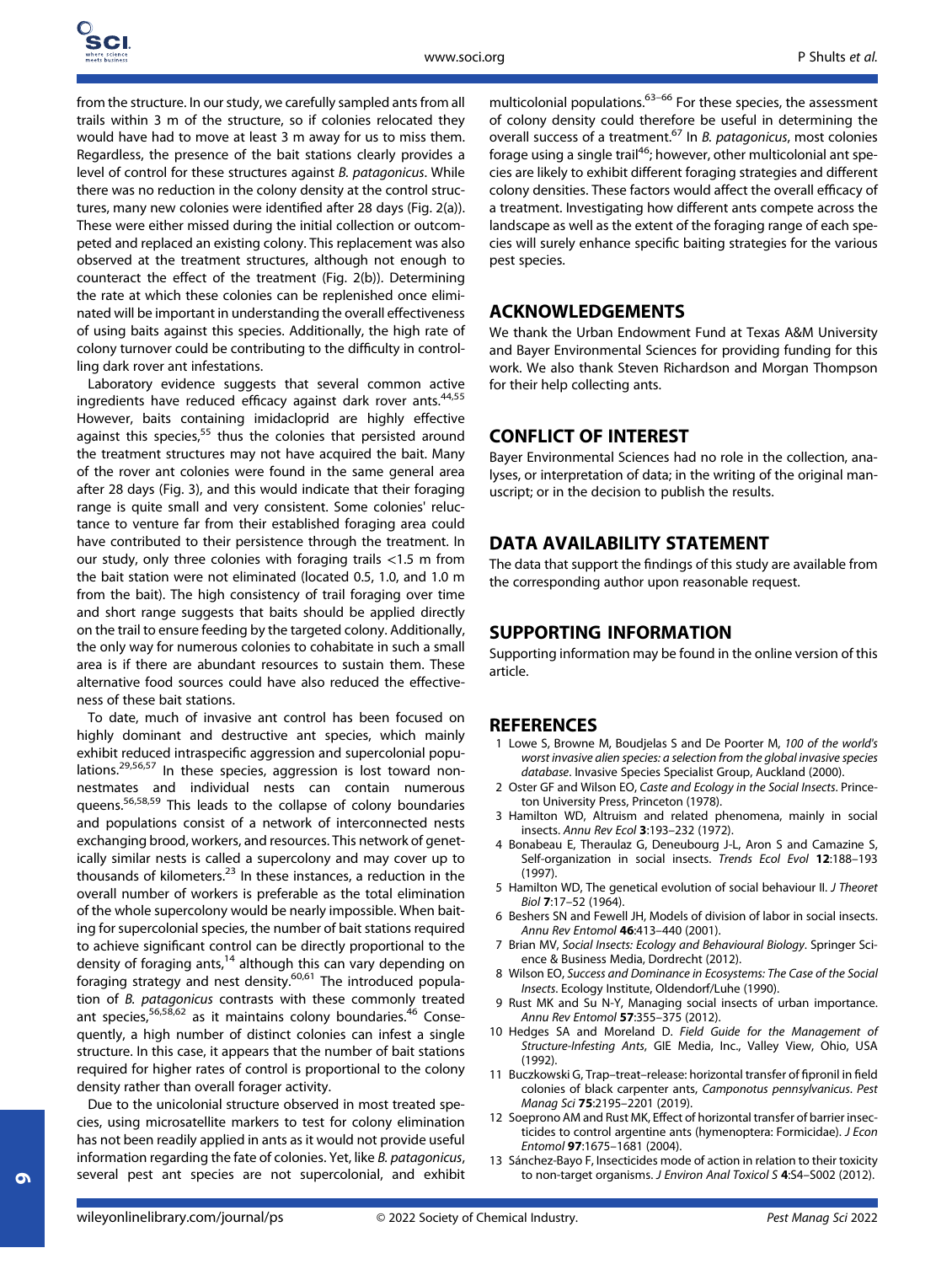from the structure. In our study, we carefully sampled ants from all trails within 3 m of the structure, so if colonies relocated they would have had to move at least 3 m away for us to miss them. Regardless, the presence of the bait stations clearly provides a level of control for these structures against B. patagonicus. While there was no reduction in the colony density at the control structures, many new colonies were identified after 28 days (Fig. 2(a)). These were either missed during the initial collection or outcompeted and replaced an existing colony. This replacement was also observed at the treatment structures, although not enough to counteract the effect of the treatment (Fig. 2(b)). Determining the rate at which these colonies can be replenished once eliminated will be important in understanding the overall effectiveness of using baits against this species. Additionally, the high rate of colony turnover could be contributing to the difficulty in controlling dark rover ant infestations.

Laboratory evidence suggests that several common active ingredients have reduced efficacy against dark rover ants.<sup>44,55</sup> However, baits containing imidacloprid are highly effective against this species,<sup>55</sup> thus the colonies that persisted around the treatment structures may not have acquired the bait. Many of the rover ant colonies were found in the same general area after 28 days (Fig. 3), and this would indicate that their foraging range is quite small and very consistent. Some colonies' reluctance to venture far from their established foraging area could have contributed to their persistence through the treatment. In our study, only three colonies with foraging trails <1.5 m from the bait station were not eliminated (located 0.5, 1.0, and 1.0 m from the bait). The high consistency of trail foraging over time and short range suggests that baits should be applied directly on the trail to ensure feeding by the targeted colony. Additionally, the only way for numerous colonies to cohabitate in such a small area is if there are abundant resources to sustain them. These alternative food sources could have also reduced the effectiveness of these bait stations.

To date, much of invasive ant control has been focused on highly dominant and destructive ant species, which mainly exhibit reduced intraspecific aggression and supercolonial populations.<sup>29,56,57</sup> In these species, aggression is lost toward nonnestmates and individual nests can contain numerous queens.<sup>56,58,59</sup> This leads to the collapse of colony boundaries and populations consist of a network of interconnected nests exchanging brood, workers, and resources. This network of genetically similar nests is called a supercolony and may cover up to thousands of kilometers.<sup>23</sup> In these instances, a reduction in the overall number of workers is preferable as the total elimination of the whole supercolony would be nearly impossible. When baiting for supercolonial species, the number of bait stations required to achieve significant control can be directly proportional to the density of foraging ants, $14$  although this can vary depending on foraging strategy and nest density.<sup>60,61</sup> The introduced population of B. patagonicus contrasts with these commonly treated ant species,<sup>56,58,62</sup> as it maintains colony boundaries.<sup>46</sup> Consequently, a high number of distinct colonies can infest a single structure. In this case, it appears that the number of bait stations required for higher rates of control is proportional to the colony density rather than overall forager activity.

Due to the unicolonial structure observed in most treated species, using microsatellite markers to test for colony elimination has not been readily applied in ants as it would not provide useful information regarding the fate of colonies. Yet, like B. patagonicus, several pest ant species are not supercolonial, and exhibit multicolonial populations. $63-66$  For these species, the assessment of colony density could therefore be useful in determining the overall success of a treatment.<sup>67</sup> In *B. patagonicus*, most colonies forage using a single trail<sup>46</sup>; however, other multicolonial ant species are likely to exhibit different foraging strategies and different colony densities. These factors would affect the overall efficacy of a treatment. Investigating how different ants compete across the landscape as well as the extent of the foraging range of each species will surely enhance specific baiting strategies for the various pest species.

# ACKNOWLEDGEMENTS

We thank the Urban Endowment Fund at Texas A&M University and Bayer Environmental Sciences for providing funding for this work. We also thank Steven Richardson and Morgan Thompson for their help collecting ants.

## CONFLICT OF INTEREST

Bayer Environmental Sciences had no role in the collection, analyses, or interpretation of data; in the writing of the original manuscript; or in the decision to publish the results.

## DATA AVAILABILITY STATEMENT

The data that support the findings of this study are available from the corresponding author upon reasonable request.

## SUPPORTING INFORMATION

Supporting information may be found in the online version of this article.

# **REFERENCES**

- 1 Lowe S, Browne M, Boudjelas S and De Poorter M, 100 of the world's worst invasive alien species: a selection from the global invasive species database. Invasive Species Specialist Group, Auckland (2000).
- 2 Oster GF and Wilson EO, Caste and Ecology in the Social Insects. Princeton University Press, Princeton (1978).
- 3 Hamilton WD, Altruism and related phenomena, mainly in social insects. Annu Rev Ecol 3:193–232 (1972).
- 4 Bonabeau E, Theraulaz G, Deneubourg J-L, Aron S and Camazine S, Self-organization in social insects. Trends Ecol Evol 12:188–193 (1997).
- 5 Hamilton WD, The genetical evolution of social behaviour II. J Theoret Biol 7:17–52 (1964).
- 6 Beshers SN and Fewell JH, Models of division of labor in social insects. Annu Rev Entomol 46:413–440 (2001).
- 7 Brian MV, Social Insects: Ecology and Behavioural Biology. Springer Science & Business Media, Dordrecht (2012).
- 8 Wilson EO, Success and Dominance in Ecosystems: The Case of the Social Insects. Ecology Institute, Oldendorf/Luhe (1990).
- 9 Rust MK and Su N-Y, Managing social insects of urban importance. Annu Rev Entomol 57:355–375 (2012).
- 10 Hedges SA and Moreland D. Field Guide for the Management of Structure-Infesting Ants, GIE Media, Inc., Valley View, Ohio, USA (1992).
- 11 Buczkowski G, Trap–treat–release: horizontal transfer of fipronil in field colonies of black carpenter ants, Camponotus pennsylvanicus. Pest Manag Sci 75:2195–2201 (2019).
- 12 Soeprono AM and Rust MK, Effect of horizontal transfer of barrier insecticides to control argentine ants (hymenoptera: Formicidae). J Econ Entomol 97:1675–1681 (2004).
- 13 Sánchez-Bayo F, Insecticides mode of action in relation to their toxicity to non-target organisms. J Environ Anal Toxicol S 4:S4–S002 (2012).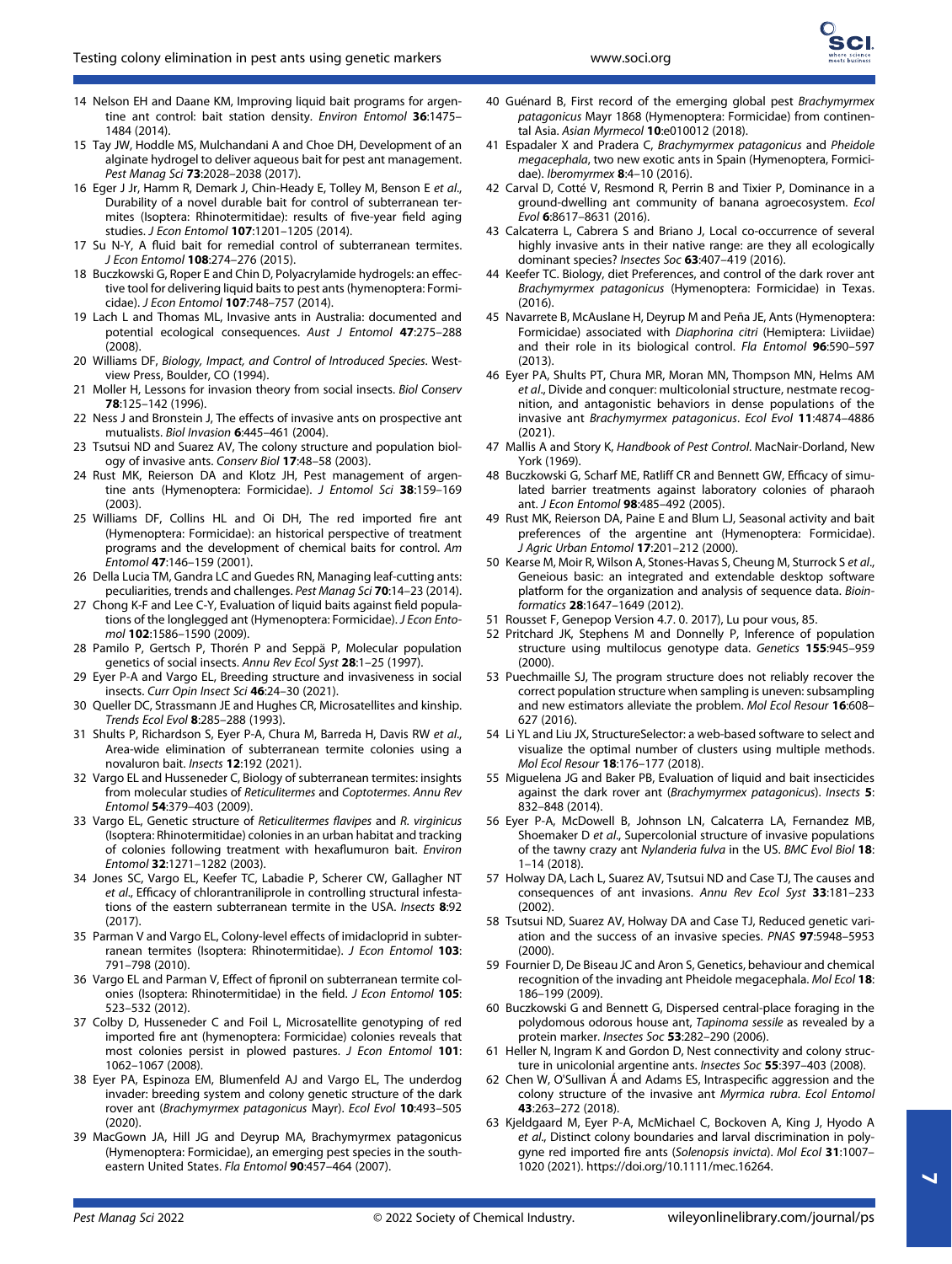- 14 Nelson EH and Daane KM, Improving liquid bait programs for argentine ant control: bait station density. Environ Entomol 36:1475– 1484 (2014).
- 15 Tay JW, Hoddle MS, Mulchandani A and Choe DH, Development of an alginate hydrogel to deliver aqueous bait for pest ant management. Pest Manag Sci 73:2028–2038 (2017).
- 16 Eger J Jr, Hamm R, Demark J, Chin-Heady E, Tolley M, Benson E et al., Durability of a novel durable bait for control of subterranean termites (Isoptera: Rhinotermitidae): results of five-year field aging studies. J Econ Entomol 107:1201–1205 (2014).
- 17 Su N-Y, A fluid bait for remedial control of subterranean termites. J Econ Entomol 108:274–276 (2015).
- 18 Buczkowski G, Roper E and Chin D, Polyacrylamide hydrogels: an effective tool for delivering liquid baits to pest ants (hymenoptera: Formicidae). J Econ Entomol 107:748–757 (2014).
- 19 Lach L and Thomas ML, Invasive ants in Australia: documented and potential ecological consequences. Aust J Entomol 47:275–288 (2008).
- 20 Williams DF, Biology, Impact, and Control of Introduced Species. Westview Press, Boulder, CO (1994).
- 21 Moller H, Lessons for invasion theory from social insects. Biol Conserv 78:125–142 (1996).
- 22 Ness J and Bronstein J, The effects of invasive ants on prospective ant mutualists. Biol Invasion 6:445–461 (2004).
- 23 Tsutsui ND and Suarez AV, The colony structure and population biology of invasive ants. Conserv Biol 17:48–58 (2003).
- 24 Rust MK, Reierson DA and Klotz JH, Pest management of argentine ants (Hymenoptera: Formicidae). J Entomol Sci 38:159-169 (2003).
- 25 Williams DF, Collins HL and Oi DH, The red imported fire ant (Hymenoptera: Formicidae): an historical perspective of treatment programs and the development of chemical baits for control. Am Entomol 47:146–159 (2001).
- 26 Della Lucia TM, Gandra LC and Guedes RN, Managing leaf-cutting ants: peculiarities, trends and challenges. Pest Manag Sci 70:14–23 (2014).
- 27 Chong K-F and Lee C-Y, Evaluation of liquid baits against field populations of the longlegged ant (Hymenoptera: Formicidae). J Econ Entomol 102:1586–1590 (2009).
- 28 Pamilo P, Gertsch P, Thorén P and Seppä P, Molecular population genetics of social insects. Annu Rev Ecol Syst 28:1–25 (1997).
- 29 Eyer P-A and Vargo EL, Breeding structure and invasiveness in social insects. Curr Opin Insect Sci 46:24–30 (2021).
- 30 Queller DC, Strassmann JE and Hughes CR, Microsatellites and kinship. Trends Ecol Evol 8:285–288 (1993).
- 31 Shults P, Richardson S, Eyer P-A, Chura M, Barreda H, Davis RW et al., Area-wide elimination of subterranean termite colonies using a novaluron bait. Insects 12:192 (2021).
- 32 Vargo EL and Husseneder C, Biology of subterranean termites: insights from molecular studies of Reticulitermes and Coptotermes. Annu Rev Entomol 54:379–403 (2009).
- 33 Vargo EL, Genetic structure of Reticulitermes flavipes and R. virginicus (Isoptera: Rhinotermitidae) colonies in an urban habitat and tracking of colonies following treatment with hexaflumuron bait. Environ Entomol 32:1271–1282 (2003).
- 34 Jones SC, Vargo EL, Keefer TC, Labadie P, Scherer CW, Gallagher NT et al., Efficacy of chlorantraniliprole in controlling structural infestations of the eastern subterranean termite in the USA. Insects 8:92 (2017).
- 35 Parman V and Vargo EL, Colony-level effects of imidacloprid in subterranean termites (Isoptera: Rhinotermitidae). J Econ Entomol 103: 791–798 (2010).
- 36 Vargo EL and Parman V, Effect of fipronil on subterranean termite colonies (Isoptera: Rhinotermitidae) in the field. J Econ Entomol 105: 523–532 (2012).
- 37 Colby D, Husseneder C and Foil L, Microsatellite genotyping of red imported fire ant (hymenoptera: Formicidae) colonies reveals that most colonies persist in plowed pastures. J Econ Entomol 101: 1062–1067 (2008).
- 38 Eyer PA, Espinoza EM, Blumenfeld AJ and Vargo EL, The underdog invader: breeding system and colony genetic structure of the dark rover ant (Brachymyrmex patagonicus Mayr). Ecol Evol 10:493–505 (2020).
- 39 MacGown JA, Hill JG and Deyrup MA, Brachymyrmex patagonicus (Hymenoptera: Formicidae), an emerging pest species in the southeastern United States. Fla Entomol 90:457–464 (2007).
- 40 Guénard B, First record of the emerging global pest Brachymyrmex patagonicus Mayr 1868 (Hymenoptera: Formicidae) from continental Asia. Asian Myrmecol 10:e010012 (2018).
- 41 Espadaler X and Pradera C, Brachymyrmex patagonicus and Pheidole megacephala, two new exotic ants in Spain (Hymenoptera, Formicidae). Iberomyrmex 8:4–10 (2016).
- 42 Carval D, Cotté V, Resmond R, Perrin B and Tixier P, Dominance in a ground-dwelling ant community of banana agroecosystem. Ecol Evol 6:8617–8631 (2016).
- 43 Calcaterra L, Cabrera S and Briano J, Local co-occurrence of several highly invasive ants in their native range: are they all ecologically dominant species? Insectes Soc 63:407-419 (2016).
- 44 Keefer TC. Biology, diet Preferences, and control of the dark rover ant Brachymyrmex patagonicus (Hymenoptera: Formicidae) in Texas. (2016).
- 45 Navarrete B, McAuslane H, Deyrup M and Peña JE, Ants (Hymenoptera: Formicidae) associated with Diaphorina citri (Hemiptera: Liviidae) and their role in its biological control. Fla Entomol 96:590-597  $(2013)$
- 46 Eyer PA, Shults PT, Chura MR, Moran MN, Thompson MN, Helms AM et al., Divide and conquer: multicolonial structure, nestmate recognition, and antagonistic behaviors in dense populations of the invasive ant Brachymyrmex patagonicus. Ecol Evol 11:4874–4886 (2021).
- 47 Mallis A and Story K, Handbook of Pest Control. MacNair-Dorland, New York (1969)
- 48 Buczkowski G, Scharf ME, Ratliff CR and Bennett GW, Efficacy of simulated barrier treatments against laboratory colonies of pharaoh ant. J Econ Entomol 98:485-492 (2005).
- 49 Rust MK, Reierson DA, Paine E and Blum LJ, Seasonal activity and bait preferences of the argentine ant (Hymenoptera: Formicidae). J Agric Urban Entomol 17:201–212 (2000).
- 50 Kearse M, Moir R, Wilson A, Stones-Havas S, Cheung M, Sturrock S et al., Geneious basic: an integrated and extendable desktop software platform for the organization and analysis of sequence data. Bioinformatics 28:1647–1649 (2012).
- 51 Rousset F, Genepop Version 4.7. 0. 2017), Lu pour vous, 85.
- 52 Pritchard JK, Stephens M and Donnelly P, Inference of population structure using multilocus genotype data. Genetics 155:945–959  $(2000)$
- 53 Puechmaille SJ, The program structure does not reliably recover the correct population structure when sampling is uneven: subsampling and new estimators alleviate the problem. Mol Ecol Resour 16:608– 627 (2016).
- 54 Li YL and Liu JX, StructureSelector: a web-based software to select and visualize the optimal number of clusters using multiple methods. Mol Ecol Resour 18:176–177 (2018).
- 55 Miguelena JG and Baker PB, Evaluation of liquid and bait insecticides against the dark rover ant (Brachymyrmex patagonicus). Insects 5: 832–848 (2014).
- 56 Eyer P-A, McDowell B, Johnson LN, Calcaterra LA, Fernandez MB, Shoemaker D et al., Supercolonial structure of invasive populations of the tawny crazy ant Nylanderia fulva in the US. BMC Evol Biol 18: 1–14 (2018).
- 57 Holway DA, Lach L, Suarez AV, Tsutsui ND and Case TJ, The causes and consequences of ant invasions. Annu Rev Ecol Syst 33:181–233  $(2002)$
- 58 Tsutsui ND, Suarez AV, Holway DA and Case TJ, Reduced genetic variation and the success of an invasive species. PNAS 97:5948–5953  $(2000)$
- 59 Fournier D, De Biseau JC and Aron S, Genetics, behaviour and chemical recognition of the invading ant Pheidole megacephala. Mol Ecol 18: 186–199 (2009).
- 60 Buczkowski G and Bennett G, Dispersed central-place foraging in the polydomous odorous house ant, Tapinoma sessile as revealed by a protein marker. Insectes Soc 53:282–290 (2006).
- 61 Heller N, Ingram K and Gordon D, Nest connectivity and colony structure in unicolonial argentine ants. Insectes Soc 55:397–403 (2008).
- 62 Chen W, O'Sullivan Á and Adams ES, Intraspecific aggression and the colony structure of the invasive ant Myrmica rubra. Ecol Entomol 43:263–272 (2018).
- 63 Kjeldgaard M, Eyer P-A, McMichael C, Bockoven A, King J, Hyodo A et al., Distinct colony boundaries and larval discrimination in polygyne red imported fire ants (Solenopsis invicta). Mol Ecol 31:1007– 1020 (2021).<https://doi.org/10.1111/mec.16264>.